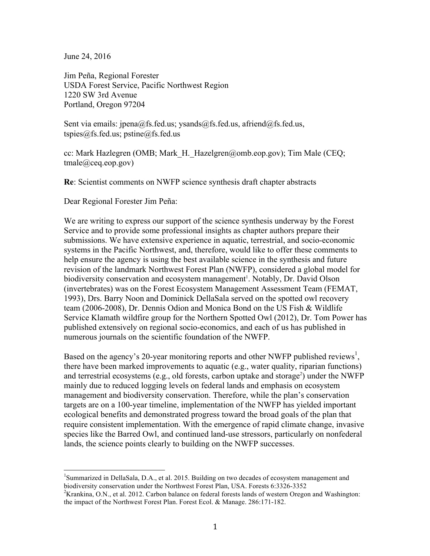June 24, 2016

Jim Peña, Regional Forester USDA Forest Service, Pacific Northwest Region 1220 SW 3rd Avenue Portland, Oregon 97204

Sent via emails: jpena@fs.fed.us; ysands@fs.fed.us, afriend@fs.fed.us, tspies@fs.fed.us; pstine@fs.fed.us

cc: Mark Hazlegren (OMB; Mark\_H.\_Hazelgren@omb.eop.gov); Tim Male (CEQ; tmale@ceq.eop.gov)

**Re**: Scientist comments on NWFP science synthesis draft chapter abstracts

Dear Regional Forester Jim Peña:

We are writing to express our support of the science synthesis underway by the Forest Service and to provide some professional insights as chapter authors prepare their submissions. We have extensive experience in aquatic, terrestrial, and socio-economic systems in the Pacific Northwest, and, therefore, would like to offer these comments to help ensure the agency is using the best available science in the synthesis and future revision of the landmark Northwest Forest Plan (NWFP), considered a global model for biodiversity conservation and ecosystem management<sup>1</sup>. Notably, Dr. David Olson (invertebrates) was on the Forest Ecosystem Management Assessment Team (FEMAT, 1993), Drs. Barry Noon and Dominick DellaSala served on the spotted owl recovery team (2006-2008), Dr. Dennis Odion and Monica Bond on the US Fish & Wildlife Service Klamath wildfire group for the Northern Spotted Owl (2012), Dr. Tom Power has published extensively on regional socio-economics, and each of us has published in numerous journals on the scientific foundation of the NWFP.

Based on the agency's 20-year monitoring reports and other NWFP published reviews<sup>1</sup>, there have been marked improvements to aquatic (e.g., water quality, riparian functions) and terrestrial ecosystems (e.g., old forests, carbon uptake and storage<sup>2</sup>) under the NWFP mainly due to reduced logging levels on federal lands and emphasis on ecosystem management and biodiversity conservation. Therefore, while the plan's conservation targets are on a 100-year timeline, implementation of the NWFP has yielded important ecological benefits and demonstrated progress toward the broad goals of the plan that require consistent implementation. With the emergence of rapid climate change, invasive species like the Barred Owl, and continued land-use stressors, particularly on nonfederal lands, the science points clearly to building on the NWFP successes.

 <sup>1</sup> Summarized in DellaSala, D.A., et al. 2015. Building on two decades of ecosystem management and biodiversity conservation under the Northwest Forest Plan, USA. Forests 6:3326-3352 <sup>2</sup>

<sup>&</sup>lt;sup>2</sup>Krankina, O.N., et al. 2012. Carbon balance on federal forests lands of western Oregon and Washington: the impact of the Northwest Forest Plan. Forest Ecol. & Manage. 286:171-182.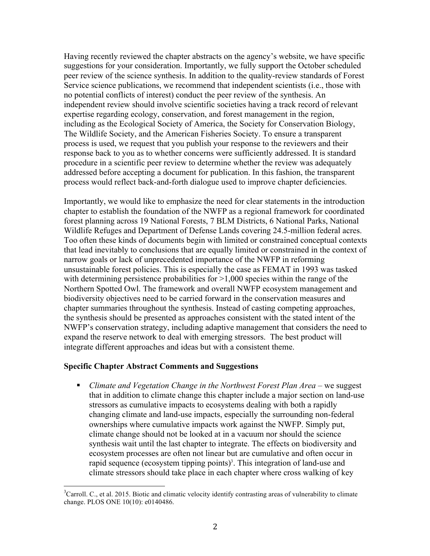Having recently reviewed the chapter abstracts on the agency's website, we have specific suggestions for your consideration. Importantly, we fully support the October scheduled peer review of the science synthesis. In addition to the quality-review standards of Forest Service science publications, we recommend that independent scientists (i.e., those with no potential conflicts of interest) conduct the peer review of the synthesis. An independent review should involve scientific societies having a track record of relevant expertise regarding ecology, conservation, and forest management in the region, including as the Ecological Society of America, the Society for Conservation Biology, The Wildlife Society, and the American Fisheries Society. To ensure a transparent process is used, we request that you publish your response to the reviewers and their response back to you as to whether concerns were sufficiently addressed. It is standard procedure in a scientific peer review to determine whether the review was adequately addressed before accepting a document for publication. In this fashion, the transparent process would reflect back-and-forth dialogue used to improve chapter deficiencies.

Importantly, we would like to emphasize the need for clear statements in the introduction chapter to establish the foundation of the NWFP as a regional framework for coordinated forest planning across 19 National Forests, 7 BLM Districts, 6 National Parks, National Wildlife Refuges and Department of Defense Lands covering 24.5-million federal acres. Too often these kinds of documents begin with limited or constrained conceptual contexts that lead inevitably to conclusions that are equally limited or constrained in the context of narrow goals or lack of unprecedented importance of the NWFP in reforming unsustainable forest policies. This is especially the case as FEMAT in 1993 was tasked with determining persistence probabilities for  $>1,000$  species within the range of the Northern Spotted Owl. The framework and overall NWFP ecosystem management and biodiversity objectives need to be carried forward in the conservation measures and chapter summaries throughout the synthesis. Instead of casting competing approaches, the synthesis should be presented as approaches consistent with the stated intent of the NWFP's conservation strategy, including adaptive management that considers the need to expand the reserve network to deal with emerging stressors. The best product will integrate different approaches and ideas but with a consistent theme.

## **Specific Chapter Abstract Comments and Suggestions**

§ *Climate and Vegetation Change in the Northwest Forest Plan Area* – we suggest that in addition to climate change this chapter include a major section on land-use stressors as cumulative impacts to ecosystems dealing with both a rapidly changing climate and land-use impacts, especially the surrounding non-federal ownerships where cumulative impacts work against the NWFP. Simply put, climate change should not be looked at in a vacuum nor should the science synthesis wait until the last chapter to integrate. The effects on biodiversity and ecosystem processes are often not linear but are cumulative and often occur in rapid sequence (ecosystem tipping points)<sup>3</sup>. This integration of land-use and climate stressors should take place in each chapter where cross walking of key

<sup>&</sup>lt;sup>3</sup>Carroll. C., et al. 2015. Biotic and climatic velocity identify contrasting areas of vulnerability to climate change. PLOS ONE 10(10): e0140486.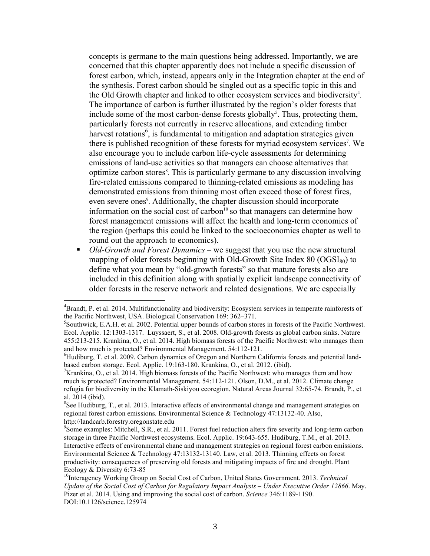concepts is germane to the main questions being addressed. Importantly, we are concerned that this chapter apparently does not include a specific discussion of forest carbon, which, instead, appears only in the Integration chapter at the end of the synthesis. Forest carbon should be singled out as a specific topic in this and the Old Growth chapter and linked to other ecosystem services and biodiversity<sup>4</sup>. The importance of carbon is further illustrated by the region's older forests that include some of the most carbon-dense forests globally<sup>5</sup>. Thus, protecting them, particularly forests not currently in reserve allocations, and extending timber harvest rotations<sup>6</sup>, is fundamental to mitigation and adaptation strategies given there is published recognition of these forests for myriad ecosystem services<sup>7</sup>. We also encourage you to include carbon life-cycle assessments for determining emissions of land-use activities so that managers can choose alternatives that optimize carbon stores<sup>8</sup>. This is particularly germane to any discussion involving fire-related emissions compared to thinning-related emissions as modeling has demonstrated emissions from thinning most often exceed those of forest fires, even severe ones<sup>9</sup>. Additionally, the chapter discussion should incorporate information on the social cost of carbon<sup>10</sup> so that managers can determine how forest management emissions will affect the health and long-term economics of the region (perhaps this could be linked to the socioeconomics chapter as well to round out the approach to economics).

■ *Old-Growth and Forest Dynamics* – we suggest that you use the new structural mapping of older forests beginning with Old-Growth Site Index  $80 \left( \frac{\text{OGSI}_{80}}{\text{to}} \right)$  to define what you mean by "old-growth forests" so that mature forests also are included in this definition along with spatially explicit landscape connectivity of older forests in the reserve network and related designations. We are especially

The analytical Chronom Chronom Chronom and the analytical and the above the analytical analytical analytical analytical analytical analytical analytical analytical analytical analytical analytical analytical analytical ana the Pacific Northwest, USA. Biological Conservation 169: 362-371.

<sup>&</sup>lt;sup>5</sup>Southwick, E.A.H. et al. 2002. Potential upper bounds of carbon stores in forests of the Pacific Northwest. Ecol. Applic. 12:1303-1317. Luyssaert, S., et al. 2008. Old-growth forests as global carbon sinks. Nature 455:213-215. Krankina, O., et al. 2014. High biomass forests of the Pacific Northwest: who manages them and how much is protected? Environmental Management. 54:112-121.

<sup>&</sup>lt;sup>6</sup>Hudiburg, T. et al. 2009. Carbon dynamics of Oregon and Northern California forests and potential landbased carbon storage. Ecol. Applic. 19:163-180. Krankina, O., et al. 2012. (ibid). <sup>7</sup>

<sup>&</sup>lt;sup>7</sup> Krankina, O., et al. 2014. High biomass forests of the Pacific Northwest: who manages them and how much is protected? Environmental Management. 54:112-121. Olson, D.M., et al. 2012. Climate change refugia for biodiversity in the Klamath-Siskiyou ecoregion. Natural Areas Journal 32:65-74. Brandt, P., et al. 2014 (ibid).

<sup>&</sup>lt;sup>8</sup>See Hudiburg, T., et al. 2013. Interactive effects of environmental change and management strategies on regional forest carbon emissions. Environmental Science & Technology 47:13132-40. Also, http://landcarb.forestry.oregonstate.edu <sup>9</sup>

<sup>&</sup>lt;sup>9</sup>Some examples: Mitchell, S.R., et al. 2011. Forest fuel reduction alters fire severity and long-term carbon storage in three Pacific Northwest ecosystems. Ecol. Applic. 19:643-655. Hudiburg, T.M., et al. 2013. Interactive effects of environmental chane and management strategies on regional forest carbon emissions. Environmental Science & Technology 47:13132-13140. Law, et al. 2013. Thinning effects on forest productivity: consequences of preserving old forests and mitigating impacts of fire and drought. Plant Ecology & Diversity 6:73-85<br><sup>10</sup>Interagency Working Group on Social Cost of Carbon, United States Government. 2013. *Technical* 

*Update of the Social Cost of Carbon for Regulatory Impact Analysis – Under Executive Order 12866*. May. Pizer et al. 2014. Using and improving the social cost of carbon. *Science* 346:1189-1190. DOI:10.1126/science.125974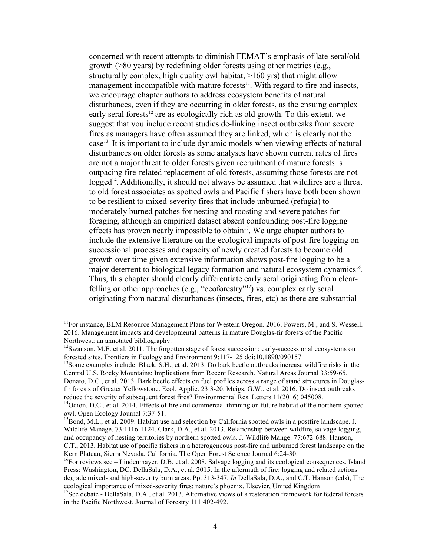concerned with recent attempts to diminish FEMAT's emphasis of late-seral/old growth (>80 years) by redefining older forests using other metrics (e.g., structurally complex, high quality owl habitat,  $>160$  yrs) that might allow management incompatible with mature forests $11$ . With regard to fire and insects, we encourage chapter authors to address ecosystem benefits of natural disturbances, even if they are occurring in older forests, as the ensuing complex early seral forests<sup>12</sup> are as ecologically rich as old growth. To this extent, we suggest that you include recent studies de-linking insect outbreaks from severe fires as managers have often assumed they are linked, which is clearly not the case13. It is important to include dynamic models when viewing effects of natural disturbances on older forests as some analyses have shown current rates of fires are not a major threat to older forests given recruitment of mature forests is outpacing fire-related replacement of old forests, assuming those forests are not logged<sup>14</sup>. Additionally, it should not always be assumed that wildfires are a threat to old forest associates as spotted owls and Pacific fishers have both been shown to be resilient to mixed-severity fires that include unburned (refugia) to moderately burned patches for nesting and roosting and severe patches for foraging, although an empirical dataset absent confounding post-fire logging effects has proven nearly impossible to obtain<sup>15</sup>. We urge chapter authors to include the extensive literature on the ecological impacts of post-fire logging on successional processes and capacity of newly created forests to become old growth over time given extensive information shows post-fire logging to be a major deterrent to biological legacy formation and natural ecosystem dynamics<sup>16</sup>. Thus, this chapter should clearly differentiate early seral originating from clearfelling or other approaches (e.g., "ecoforestry"<sup>17</sup>) vs. complex early seral originating from natural disturbances (insects, fires, etc) as there are substantial

 $11$ For instance, BLM Resource Management Plans for Western Oregon. 2016. Powers, M., and S. Wessell. 2016. Management impacts and developmental patterns in mature Douglas-fir forests of the Pacific Northwest: an annotated bibliography.

 $12$ Swanson, M.E. et al. 2011. The forgotten stage of forest succession: early-successional ecosystems on forested sites. Frontiers in Ecology and Environment 9:117-125 doi:10.1890/090157<br><sup>13</sup>Some examples include: Black, S.H., et al. 2013. Do bark beetle outbreaks increase wildfire risks in the

Central U.S. Rocky Mountains: Implications from Recent Research. Natural Areas Journal 33:59-65. Donato, D.C., et al. 2013. Bark beetle effects on fuel profiles across a range of stand structures in Douglasfir forests of Greater Yellowstone. Ecol. Applic. 23:3-20. Meigs, G.W., et al. 2016. Do insect outbreaks reduce the severity of subsequent forest fires? Environmental Res. Letters 11(2016) 045008.<br><sup>14</sup>Odion, D.C., et al. 2014. Effects of fire and commercial thinning on future habitat of the northern spotted

owl. Open Ecology Journal 7:37-51.<br><sup>15</sup>Bond, M.L., et al. 2009. Habitat use and selection by California spotted owls in a postfire landscape. J.

Wildlife Manage. 73:1116-1124. Clark, D.A., et al. 2013. Relationship between wildfire, salvage logging, and occupancy of nesting territories by northern spotted owls. J. Wildlife Mange. 77:672-688. Hanson, C.T., 2013. Habitat use of pacific fishers in a heterogeneous post-fire and unburned forest landscape on the

Kern Plateau, Sierra Nevada, California. The Open Forest Science Journal 6:24-30.<br><sup>16</sup>For reviews see – Lindenmayer, D.B, et al. 2008. Salvage logging and its ecological consequences. Island Press: Washington, DC. DellaSala, D.A., et al. 2015. In the aftermath of fire: logging and related actions degrade mixed- and high-severity burn areas. Pp. 313-347, *In* DellaSala, D.A., and C.T. Hanson (eds), The

ecological importance of mixed-severity fires: nature's phoenix. Elsevier, United Kingdom 17See debate - DellaSala, D.A., et al. 2013. Alternative views of a restoration framework for federal forests in the Pacific Northwest. Journal of Forestry 111:402-492.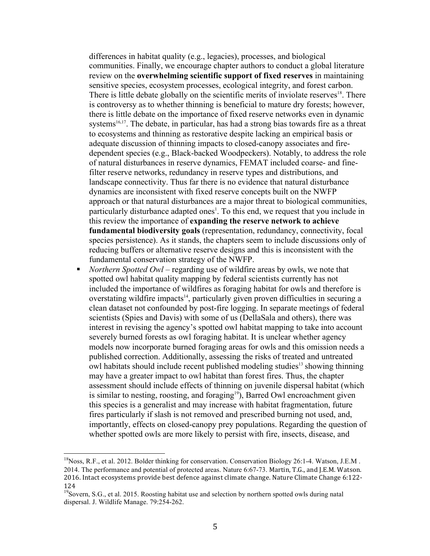differences in habitat quality (e.g., legacies), processes, and biological communities. Finally, we encourage chapter authors to conduct a global literature review on the **overwhelming scientific support of fixed reserves** in maintaining sensitive species, ecosystem processes, ecological integrity, and forest carbon. There is little debate globally on the scientific merits of inviolate reserves $18$ . There is controversy as to whether thinning is beneficial to mature dry forests; however, there is little debate on the importance of fixed reserve networks even in dynamic systems $16,17$ . The debate, in particular, has had a strong bias towards fire as a threat to ecosystems and thinning as restorative despite lacking an empirical basis or adequate discussion of thinning impacts to closed-canopy associates and firedependent species (e.g., Black-backed Woodpeckers). Notably, to address the role of natural disturbances in reserve dynamics, FEMAT included coarse- and finefilter reserve networks, redundancy in reserve types and distributions, and landscape connectivity. Thus far there is no evidence that natural disturbance dynamics are inconsistent with fixed reserve concepts built on the NWFP approach or that natural disturbances are a major threat to biological communities, particularly disturbance adapted ones<sup>1</sup>. To this end, we request that you include in this review the importance of **expanding the reserve network to achieve fundamental biodiversity goals** (representation, redundancy, connectivity, focal species persistence). As it stands, the chapters seem to include discussions only of reducing buffers or alternative reserve designs and this is inconsistent with the fundamental conservation strategy of the NWFP.

§ *Northern Spotted Owl –* regarding use of wildfire areas by owls, we note that spotted owl habitat quality mapping by federal scientists currently has not included the importance of wildfires as foraging habitat for owls and therefore is overstating wildfire impacts<sup>14</sup>, particularly given proven difficulties in securing a clean dataset not confounded by post-fire logging. In separate meetings of federal scientists (Spies and Davis) with some of us (DellaSala and others), there was interest in revising the agency's spotted owl habitat mapping to take into account severely burned forests as owl foraging habitat. It is unclear whether agency models now incorporate burned foraging areas for owls and this omission needs a published correction. Additionally, assessing the risks of treated and untreated owl habitats should include recent published modeling studies13 showing thinning may have a greater impact to owl habitat than forest fires. Thus, the chapter assessment should include effects of thinning on juvenile dispersal habitat (which is similar to nesting, roosting, and foraging<sup>19</sup>), Barred Owl encroachment given this species is a generalist and may increase with habitat fragmentation, future fires particularly if slash is not removed and prescribed burning not used, and, importantly, effects on closed-canopy prey populations. Regarding the question of whether spotted owls are more likely to persist with fire, insects, disease, and

<sup>&</sup>lt;sup>18</sup>Noss, R.F., et al. 2012. Bolder thinking for conservation. Conservation Biology 26:1-4. Watson, J.E.M. 2014. The performance and potential of protected areas. Nature 6:67-73. Martin, T.G., and J.E.M. Watson. 2016. Intact ecosystems provide best defence against climate change. Nature Climate Change 6:122-124

<sup>&</sup>lt;sup>19</sup>Sovern, S.G., et al. 2015. Roosting habitat use and selection by northern spotted owls during natal dispersal. J. Wildlife Manage. 79:254-262.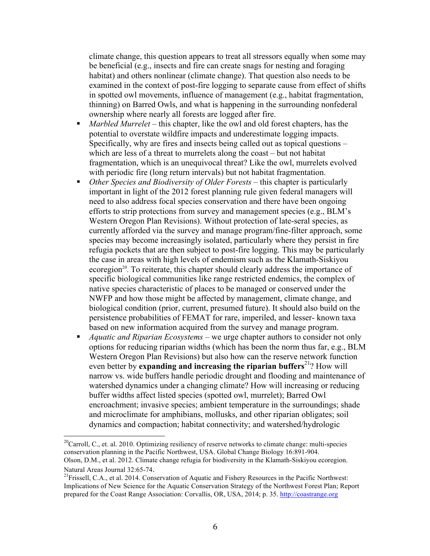climate change, this question appears to treat all stressors equally when some may be beneficial (e.g., insects and fire can create snags for nesting and foraging habitat) and others nonlinear (climate change). That question also needs to be examined in the context of post-fire logging to separate cause from effect of shifts in spotted owl movements, influence of management (e.g., habitat fragmentation, thinning) on Barred Owls, and what is happening in the surrounding nonfederal ownership where nearly all forests are logged after fire.

- *Marbled Murrelet* this chapter, like the owl and old forest chapters, has the potential to overstate wildfire impacts and underestimate logging impacts. Specifically, why are fires and insects being called out as topical questions – which are less of a threat to murrelets along the coast – but not habitat fragmentation, which is an unequivocal threat? Like the owl, murrelets evolved with periodic fire (long return intervals) but not habitat fragmentation.
- *Other Species and Biodiversity of Older Forests* this chapter is particularly important in light of the 2012 forest planning rule given federal managers will need to also address focal species conservation and there have been ongoing efforts to strip protections from survey and management species (e.g., BLM's Western Oregon Plan Revisions). Without protection of late-seral species, as currently afforded via the survey and manage program/fine-filter approach, some species may become increasingly isolated, particularly where they persist in fire refugia pockets that are then subject to post-fire logging. This may be particularly the case in areas with high levels of endemism such as the Klamath-Siskiyou ecoregion<sup>20</sup>. To reiterate, this chapter should clearly address the importance of specific biological communities like range restricted endemics, the complex of native species characteristic of places to be managed or conserved under the NWFP and how those might be affected by management, climate change, and biological condition (prior, current, presumed future). It should also build on the persistence probabilities of FEMAT for rare, imperiled, and lesser- known taxa based on new information acquired from the survey and manage program.
- *Aquatic and Riparian Ecosystems* we urge chapter authors to consider not only options for reducing riparian widths (which has been the norm thus far, e.g., BLM Western Oregon Plan Revisions) but also how can the reserve network function even better by **expanding and increasing the riparian buffers**<sup>21</sup>? How will narrow vs. wide buffers handle periodic drought and flooding and maintenance of watershed dynamics under a changing climate? How will increasing or reducing buffer widths affect listed species (spotted owl, murrelet); Barred Owl encroachment; invasive species; ambient temperature in the surroundings; shade and microclimate for amphibians, mollusks, and other riparian obligates; soil dynamics and compaction; habitat connectivity; and watershed/hydrologic

<sup>&</sup>lt;sup>20</sup>Carroll, C., et. al. 2010. Optimizing resiliency of reserve networks to climate change: multi-species conservation planning in the Pacific Northwest, USA. Global Change Biology 16:891-904. Olson, D.M., et al. 2012. Climate change refugia for biodiversity in the Klamath-Siskiyou ecoregion. Natural Areas Journal 32:65-74.<br><sup>21</sup>Frissell, C.A., et al. 2014. Conservation of Aquatic and Fishery Resources in the Pacific Northwest:

Implications of New Science for the Aquatic Conservation Strategy of the Northwest Forest Plan; Report prepared for the Coast Range Association: Corvallis, OR, USA, 2014; p. 35. http://coastrange.org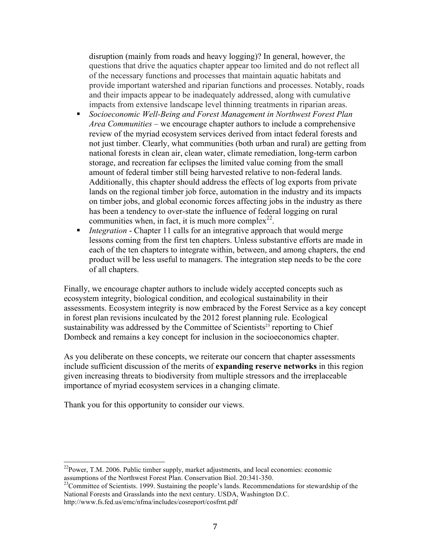disruption (mainly from roads and heavy logging)? In general, however, the questions that drive the aquatics chapter appear too limited and do not reflect all of the necessary functions and processes that maintain aquatic habitats and provide important watershed and riparian functions and processes. Notably, roads and their impacts appear to be inadequately addressed, along with cumulative impacts from extensive landscape level thinning treatments in riparian areas.

- § *Socioeconomic Well-Being and Forest Management in Northwest Forest Plan Area Communities* – we encourage chapter authors to include a comprehensive review of the myriad ecosystem services derived from intact federal forests and not just timber. Clearly, what communities (both urban and rural) are getting from national forests in clean air, clean water, climate remediation, long-term carbon storage, and recreation far eclipses the limited value coming from the small amount of federal timber still being harvested relative to non-federal lands. Additionally, this chapter should address the effects of log exports from private lands on the regional timber job force, automation in the industry and its impacts on timber jobs, and global economic forces affecting jobs in the industry as there has been a tendency to over-state the influence of federal logging on rural communities when, in fact, it is much more complex<sup>22</sup>.
- *Integration* Chapter 11 calls for an integrative approach that would merge lessons coming from the first ten chapters. Unless substantive efforts are made in each of the ten chapters to integrate within, between, and among chapters, the end product will be less useful to managers. The integration step needs to be the core of all chapters.

Finally, we encourage chapter authors to include widely accepted concepts such as ecosystem integrity, biological condition, and ecological sustainability in their assessments. Ecosystem integrity is now embraced by the Forest Service as a key concept in forest plan revisions inculcated by the 2012 forest planning rule. Ecological sustainability was addressed by the Committee of Scientists<sup>23</sup> reporting to Chief Dombeck and remains a key concept for inclusion in the socioeconomics chapter.

As you deliberate on these concepts, we reiterate our concern that chapter assessments include sufficient discussion of the merits of **expanding reserve networks** in this region given increasing threats to biodiversity from multiple stressors and the irreplaceable importance of myriad ecosystem services in a changing climate.

Thank you for this opportunity to consider our views.

 $^{22}$ Power, T.M. 2006. Public timber supply, market adjustments, and local economies: economic assumptions of the Northwest Forest Plan. Conservation Biol. 20:341-350.

 $23$ Committee of Scientists. 1999. Sustaining the people's lands. Recommendations for stewardship of the National Forests and Grasslands into the next century. USDA, Washington D.C. http://www.fs.fed.us/emc/nfma/includes/cosreport/cosfrnt.pdf